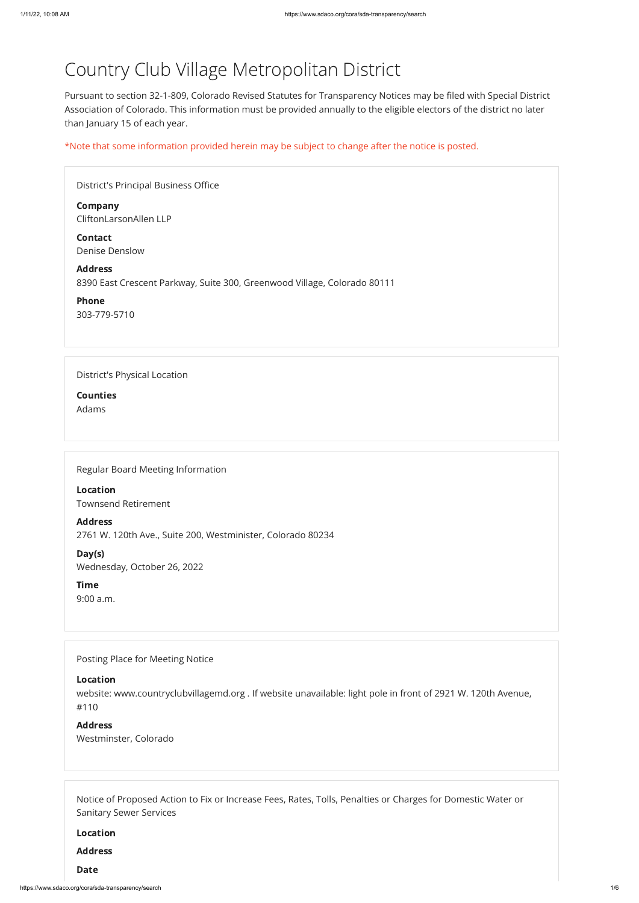# Country Club Village Metropolitan District

Pursuant to section 32-1-809, Colorado Revised Statutes for Transparency Notices may be filed with Special District Association of Colorado. This information must be provided annually to the eligible electors of the district no later than January 15 of each year.

\*Note that some information provided herein may be subject to change after the notice is posted.

| District's Principal Business Office                                                       |  |
|--------------------------------------------------------------------------------------------|--|
| <b>Company</b><br>CliftonLarsonAllen LLP                                                   |  |
| <b>Contact</b><br><b>Denise Denslow</b>                                                    |  |
| <b>Address</b><br>8390 East Crescent Parkway, Suite 300, Greenwood Village, Colorado 80111 |  |
| <b>Phone</b><br>303-779-5710                                                               |  |
|                                                                                            |  |
| District's Physical Location                                                               |  |
| <b>Counties</b>                                                                            |  |
| Adams                                                                                      |  |
|                                                                                            |  |
| Regular Board Meeting Information                                                          |  |
| <b>Location</b>                                                                            |  |

Townsend Retirement

Address 2761 W. 120th Ave., Suite 200, Westminister, Colorado 80234

Day(s) Wednesday, October 26, 2022

Time 9:00 a.m.

Posting Place for Meeting Notice

Location

website: www.countryclubvillagemd.org . If website unavailable: light pole in front of 2921 W. 120th Avenue, #110

#### Address

Westminster, Colorado

Notice of Proposed Action to Fix or Increase Fees, Rates, Tolls, Penalties or Charges for Domestic Water or Sanitary Sewer Services

Location

Address

Date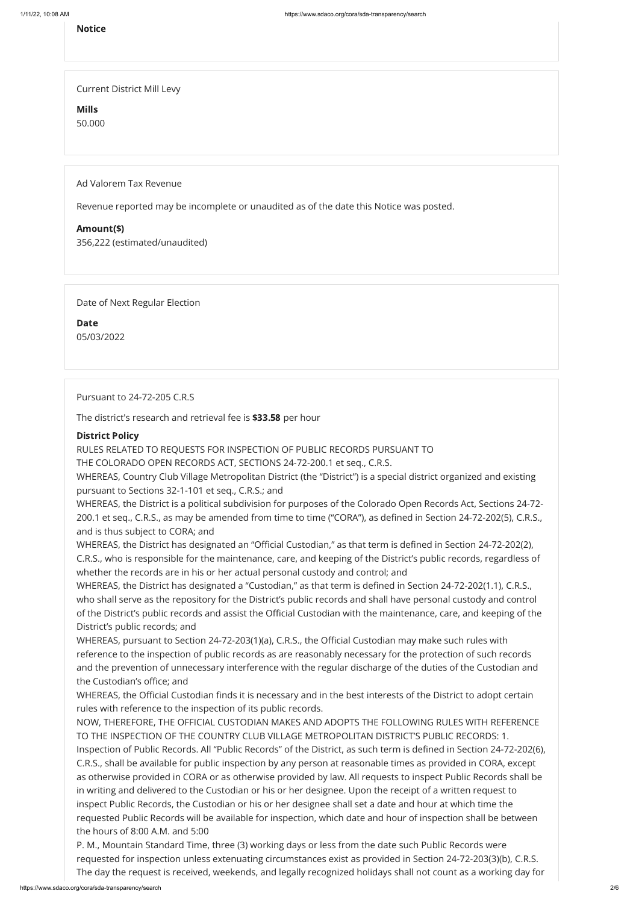## Notice

Current District Mill Levy

Mills

50.000

Ad Valorem Tax Revenue

Revenue reported may be incomplete or unaudited as of the date this Notice was posted.

## Amount(\$)

356,222 (estimated/unaudited)

Date of Next Regular Election

Date 05/03/2022

Pursuant to 24-72-205 C.R.S

The district's research and retrieval fee is \$33.58 per hour

## District Policy

RULES RELATED TO REQUESTS FOR INSPECTION OF PUBLIC RECORDS PURSUANT TO

THE COLORADO OPEN RECORDS ACT, SECTIONS 24-72-200.1 et seq., C.R.S.

WHEREAS, Country Club Village Metropolitan District (the "District") is a special district organized and existing pursuant to Sections 32-1-101 et seq., C.R.S.; and

WHEREAS, the District is a political subdivision for purposes of the Colorado Open Records Act, Sections 24-72- 200.1 et seq., C.R.S., as may be amended from time to time ("CORA"), as defined in Section 24-72-202(5), C.R.S., and is thus subject to CORA; and

WHEREAS, the District has designated an "Official Custodian," as that term is defined in Section 24-72-202(2), C.R.S., who is responsible for the maintenance, care, and keeping of the District's public records, regardless of whether the records are in his or her actual personal custody and control; and

WHEREAS, the District has designated a "Custodian," as that term is defined in Section 24-72-202(1.1), C.R.S., who shall serve as the repository for the District's public records and shall have personal custody and control of the District's public records and assist the Official Custodian with the maintenance, care, and keeping of the District's public records; and

WHEREAS, pursuant to Section 24-72-203(1)(a), C.R.S., the Official Custodian may make such rules with reference to the inspection of public records as are reasonably necessary for the protection of such records and the prevention of unnecessary interference with the regular discharge of the duties of the Custodian and the Custodian's office; and

WHEREAS, the Official Custodian finds it is necessary and in the best interests of the District to adopt certain rules with reference to the inspection of its public records.

NOW, THEREFORE, THE OFFICIAL CUSTODIAN MAKES AND ADOPTS THE FOLLOWING RULES WITH REFERENCE TO THE INSPECTION OF THE COUNTRY CLUB VILLAGE METROPOLITAN DISTRICT'S PUBLIC RECORDS: 1. Inspection of Public Records. All "Public Records" of the District, as such term is defined in Section 24-72-202(6), C.R.S., shall be available for public inspection by any person at reasonable times as provided in CORA, except as otherwise provided in CORA or as otherwise provided by law. All requests to inspect Public Records shall be in writing and delivered to the Custodian or his or her designee. Upon the receipt of a written request to inspect Public Records, the Custodian or his or her designee shall set a date and hour at which time the requested Public Records will be available for inspection, which date and hour of inspection shall be between the hours of 8:00 A.M. and 5:00

P. M., Mountain Standard Time, three (3) working days or less from the date such Public Records were requested for inspection unless extenuating circumstances exist as provided in Section 24-72-203(3)(b), C.R.S. The day the request is received, weekends, and legally recognized holidays shall not count as a working day for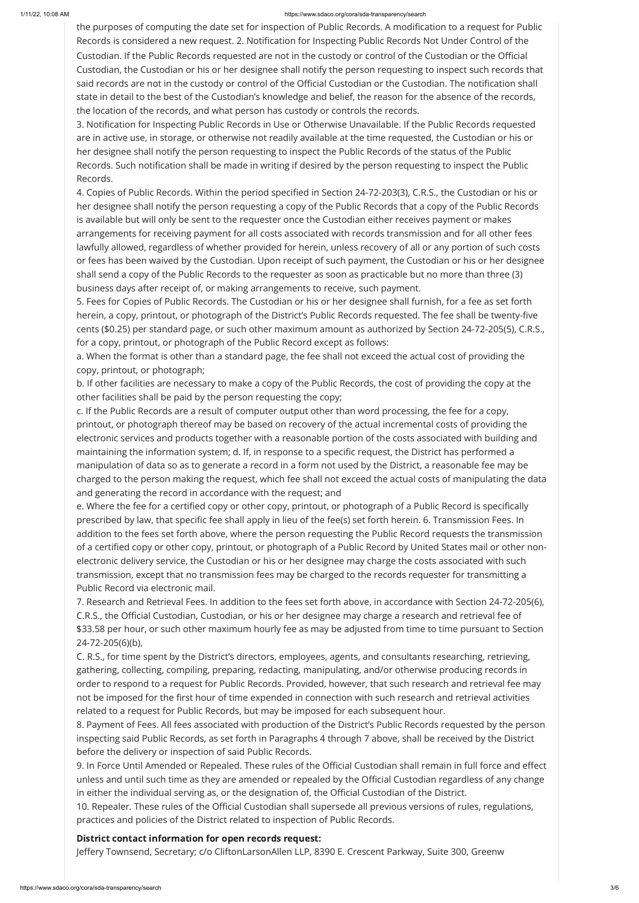#### 1/11/22, 10:08 AM https://www.sdaco.org/cora/sda-transparency/search

the purposes of computing the date set for inspection of Public Records. A modification to a request for Public Records is considered a new request. 2. Notification for Inspecting Public Records Not Under Control of the Custodian. If the Public Records requested are not in the custody or control of the Custodian or the Official Custodian, the Custodian or his or her designee shall notify the person requesting to inspect such records that said records are not in the custody or control of the Official Custodian or the Custodian. The notification shall state in detail to the best of the Custodian's knowledge and belief, the reason for the absence of the records, the location of the records, and what person has custody or controls the records.

3. Notification for Inspecting Public Records in Use or Otherwise Unavailable. If the Public Records requested are in active use, in storage, or otherwise not readily available at the time requested, the Custodian or his or her designee shall notify the person requesting to inspect the Public Records of the status of the Public Records. Such notification shall be made in writing if desired by the person requesting to inspect the Public Records.

4. Copies of Public Records. Within the period specified in Section 24-72-203(3), C.R.S., the Custodian or his or her designee shall notify the person requesting a copy of the Public Records that a copy of the Public Records is available but will only be sent to the requester once the Custodian either receives payment or makes arrangements for receiving payment for all costs associated with records transmission and for all other fees lawfully allowed, regardless of whether provided for herein, unless recovery of all or any portion of such costs or fees has been waived by the Custodian. Upon receipt of such payment, the Custodian or his or her designee shall send a copy of the Public Records to the requester as soon as practicable but no more than three (3) business days after receipt of, or making arrangements to receive, such payment.

5. Fees for Copies of Public Records. The Custodian or his or her designee shall furnish, for a fee as set forth herein, a copy, printout, or photograph of the District's Public Records requested. The fee shall be twenty-five cents (\$0.25) per standard page, or such other maximum amount as authorized by Section 24-72-205(5), C.R.S., for a copy, printout, or photograph of the Public Record except as follows:

a. When the format is other than a standard page, the fee shall not exceed the actual cost of providing the copy, printout, or photograph;

b. If other facilities are necessary to make a copy of the Public Records, the cost of providing the copy at the other facilities shall be paid by the person requesting the copy;

c. If the Public Records are a result of computer output other than word processing, the fee for a copy, printout, or photograph thereof may be based on recovery of the actual incremental costs of providing the electronic services and products together with a reasonable portion of the costs associated with building and maintaining the information system; d. If, in response to a specific request, the District has performed a manipulation of data so as to generate a record in a form not used by the District, a reasonable fee may be charged to the person making the request, which fee shall not exceed the actual costs of manipulating the data and generating the record in accordance with the request; and

e. Where the fee for a certified copy or other copy, printout, or photograph of a Public Record is specifically prescribed by law, that specific fee shall apply in lieu of the fee(s) set forth herein. 6. Transmission Fees. In addition to the fees set forth above, where the person requesting the Public Record requests the transmission of a certified copy or other copy, printout, or photograph of a Public Record by United States mail or other nonelectronic delivery service, the Custodian or his or her designee may charge the costs associated with such transmission, except that no transmission fees may be charged to the records requester for transmitting a Public Record via electronic mail.

7. Research and Retrieval Fees. In addition to the fees set forth above, in accordance with Section 24-72-205(6), C.R.S., the Official Custodian, Custodian, or his or her designee may charge a research and retrieval fee of \$33.58 per hour, or such other maximum hourly fee as may be adjusted from time to time pursuant to Section 24-72-205(6)(b),

C. R.S., for time spent by the District's directors, employees, agents, and consultants researching, retrieving, gathering, collecting, compiling, preparing, redacting, manipulating, and/or otherwise producing records in order to respond to a request for Public Records. Provided, however, that such research and retrieval fee may not be imposed for the first hour of time expended in connection with such research and retrieval activities related to a request for Public Records, but may be imposed for each subsequent hour.

8. Payment of Fees. All fees associated with production of the District's Public Records requested by the person inspecting said Public Records, as set forth in Paragraphs 4 through 7 above, shall be received by the District before the delivery or inspection of said Public Records.

9. In Force Until Amended or Repealed. These rules of the Official Custodian shall remain in full force and effect unless and until such time as they are amended or repealed by the Official Custodian regardless of any change in either the individual serving as, or the designation of, the Official Custodian of the District. 10. Repealer. These rules of the Official Custodian shall supersede all previous versions of rules, regulations, practices and policies of the District related to inspection of Public Records.

## District contact information for open records request:

Jeffery Townsend, Secretary; c/o CliftonLarsonAllen LLP, 8390 E. Crescent Parkway, Suite 300, Greenw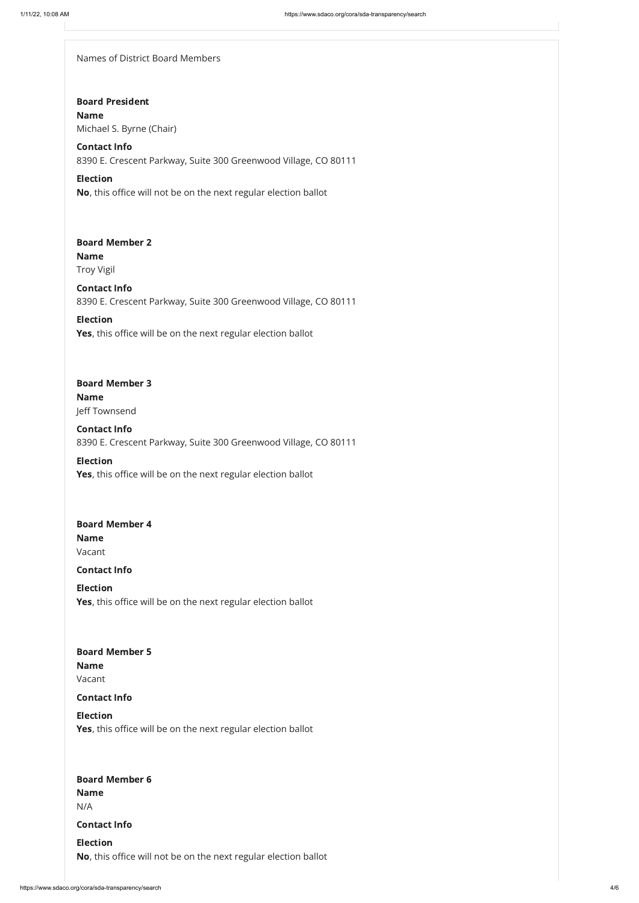Names of District Board Members

## Board President

## Board Member 6

## Election Yes, this office will be on the next regular election ballot

Name Michael S. Byrne (Chair)

## Contact Info

## Board Member 2 Name Troy Vigil

8390 E. Crescent Parkway, Suite 300 Greenwood Village, CO 80111

#### Election

Election Yes, this office will be on the next regular election ballot

No, this office will not be on the next regular election ballot

## Board Member 3 Name Jeff Townsend

Contact Info 8390 E. Crescent Parkway, Suite 300 Greenwood Village, CO 80111

## Board Member 4 Name Vacant

## Board Member 5 Name Vacant

Contact Info 8390 E. Crescent Parkway, Suite 300 Greenwood Village, CO 80111

## Election

Yes, this office will be on the next regular election ballot

Contact Info

## Contact Info

#### Election

Yes, this office will be on the next regular election ballot

Name

N/A

Contact Info

#### Election

No, this office will not be on the next regular election ballot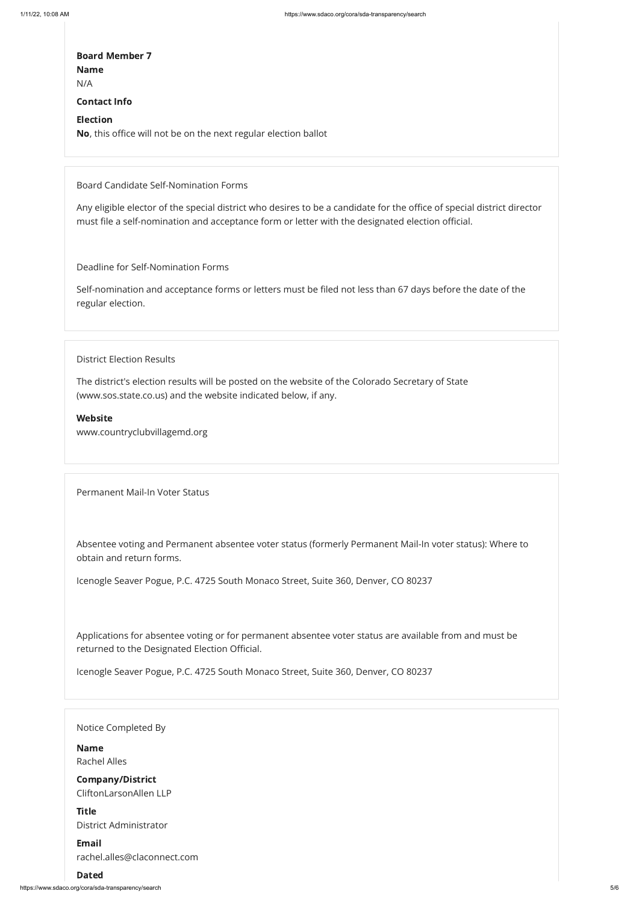https://www.sdaco.org/cora/sda-transparency/search 5/6

## Board Member 7 Name

N/A

## Contact Info

#### Election

No, this office will not be on the next regular election ballot

Board Candidate Self-Nomination Forms

Any eligible elector of the special district who desires to be a candidate for the office of special district director must file a self-nomination and acceptance form or letter with the designated election official.

Deadline for Self-Nomination Forms

Self-nomination and acceptance forms or letters must be filed not less than 67 days before the date of the regular election.

District Election Results

The district's election results will be posted on the website of the Colorado Secretary of State (www.sos.state.co.us) and the website indicated below, if any.

Website

www.countryclubvillagemd.org

Permanent Mail-In Voter Status

Absentee voting and Permanent absentee voter status (formerly Permanent Mail-In voter status): Where to obtain and return forms.

Icenogle Seaver Pogue, P.C. 4725 South Monaco Street, Suite 360, Denver, CO 80237

Applications for absentee voting or for permanent absentee voter status are available from and must be returned to the Designated Election Official.

Icenogle Seaver Pogue, P.C. 4725 South Monaco Street, Suite 360, Denver, CO 80237

## Notice Completed By

## Name

Rachel Alles

## Company/District

CliftonLarsonAllen LLP

## **Title**

District Administrator

## Email

rachel.alles@claconnect.com

## Dated